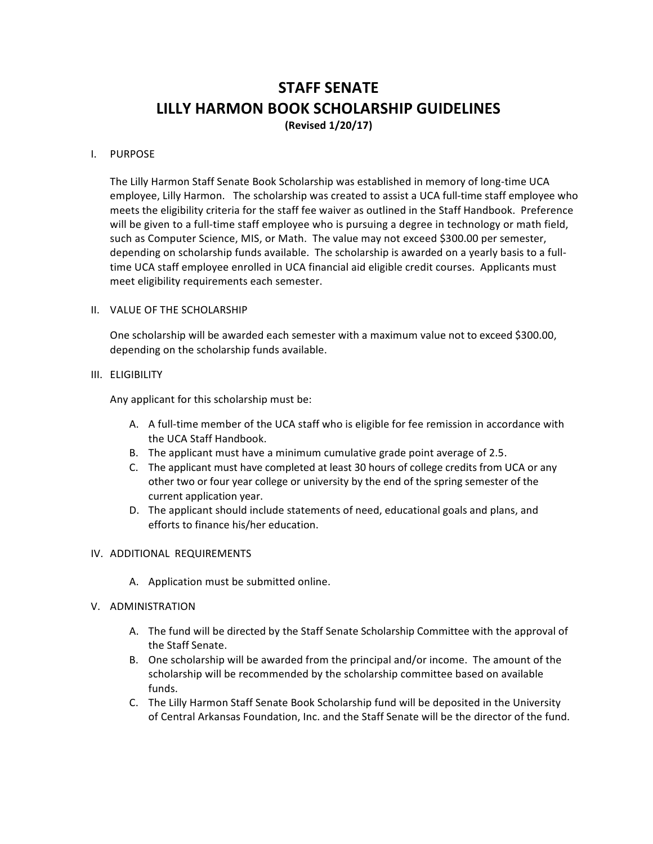# **STAFF SENATE LILLY HARMON BOOK SCHOLARSHIP GUIDELINES**

**(Revised 1/20/17)**

## I. PURPOSE

The Lilly Harmon Staff Senate Book Scholarship was established in memory of long-time UCA employee, Lilly Harmon. The scholarship was created to assist a UCA full-time staff employee who meets the eligibility criteria for the staff fee waiver as outlined in the Staff Handbook. Preference will be given to a full-time staff employee who is pursuing a degree in technology or math field, such as Computer Science, MIS, or Math. The value may not exceed \$300.00 per semester, depending on scholarship funds available. The scholarship is awarded on a yearly basis to a fulltime UCA staff employee enrolled in UCA financial aid eligible credit courses. Applicants must meet eligibility requirements each semester.

### II. VALUE OF THE SCHOLARSHIP

One scholarship will be awarded each semester with a maximum value not to exceed \$300.00, depending on the scholarship funds available.

### III. ELIGIBILITY

Any applicant for this scholarship must be:

- A. A full-time member of the UCA staff who is eligible for fee remission in accordance with the UCA Staff Handbook.
- B. The applicant must have a minimum cumulative grade point average of 2.5.
- C. The applicant must have completed at least 30 hours of college credits from UCA or any other two or four year college or university by the end of the spring semester of the current application year.
- D. The applicant should include statements of need, educational goals and plans, and efforts to finance his/her education.

## IV. ADDITIONAL REQUIREMENTS

A. Application must be submitted online.

#### V. ADMINISTRATION

- A. The fund will be directed by the Staff Senate Scholarship Committee with the approval of the Staff Senate.
- B. One scholarship will be awarded from the principal and/or income. The amount of the scholarship will be recommended by the scholarship committee based on available funds.
- C. The Lilly Harmon Staff Senate Book Scholarship fund will be deposited in the University of Central Arkansas Foundation, Inc. and the Staff Senate will be the director of the fund.